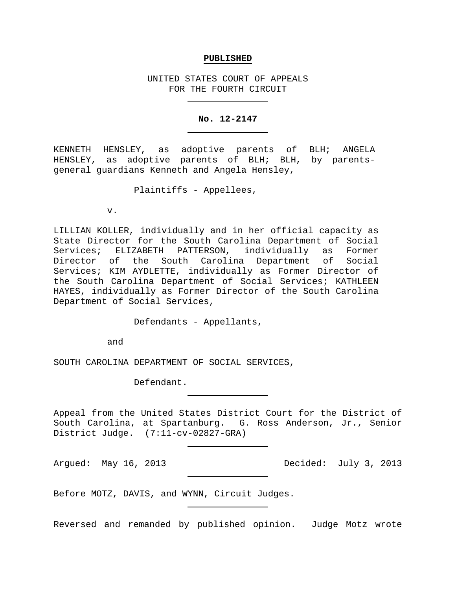#### **PUBLISHED**

UNITED STATES COURT OF APPEALS FOR THE FOURTH CIRCUIT

#### **No. 12-2147**

KENNETH HENSLEY, as adoptive parents of BLH; ANGELA HENSLEY, as adoptive parents of BLH; BLH, by parentsgeneral guardians Kenneth and Angela Hensley,

Plaintiffs - Appellees,

v.

LILLIAN KOLLER, individually and in her official capacity as State Director for the South Carolina Department of Social Services; ELIZABETH PATTERSON, individually as Former Director of the South Carolina Department of Social Services; KIM AYDLETTE, individually as Former Director of the South Carolina Department of Social Services; KATHLEEN HAYES, individually as Former Director of the South Carolina Department of Social Services,

Defendants - Appellants,

and

SOUTH CAROLINA DEPARTMENT OF SOCIAL SERVICES,

Defendant.

Appeal from the United States District Court for the District of South Carolina, at Spartanburg. G. Ross Anderson, Jr., Senior District Judge. (7:11-cv-02827-GRA)

Argued: May 16, 2013 Decided: July 3, 2013

Before MOTZ, DAVIS, and WYNN, Circuit Judges.

Reversed and remanded by published opinion. Judge Motz wrote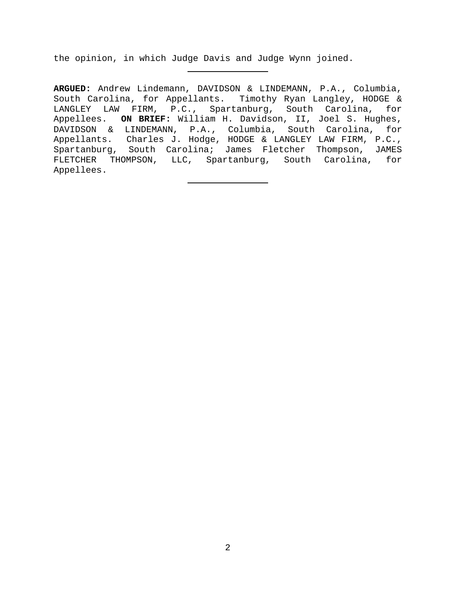the opinion, in which Judge Davis and Judge Wynn joined.

**ARGUED:** Andrew Lindemann, DAVIDSON & LINDEMANN, P.A., Columbia, South Carolina, for Appellants. Timothy Ryan Langley, HODGE & LANGLEY LAW FIRM, P.C., Spartanburg, South Carolina, for Appellees. **ON BRIEF:** William H. Davidson, II, Joel S. Hughes, DAVIDSON & LINDEMANN, P.A., Columbia, South Carolina, for Appellants. Charles J. Hodge, HODGE & LANGLEY LAW FIRM, P.C., Spartanburg, South Carolina; James Fletcher Thompson, JAMES FLETCHER THOMPSON, LLC, Spartanburg, South Carolina, for Appellees.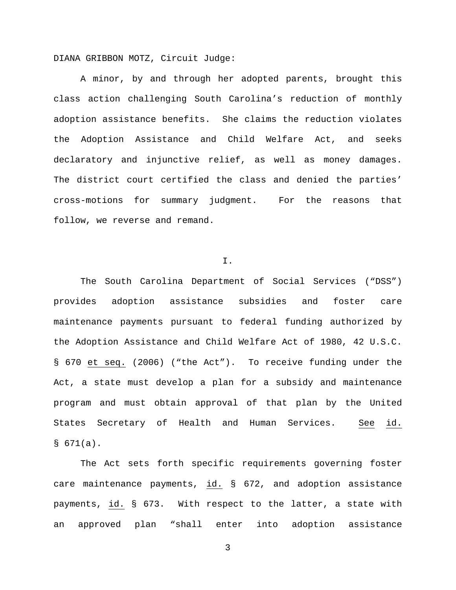DIANA GRIBBON MOTZ, Circuit Judge:

A minor, by and through her adopted parents, brought this class action challenging South Carolina's reduction of monthly adoption assistance benefits. She claims the reduction violates the Adoption Assistance and Child Welfare Act, and seeks declaratory and injunctive relief, as well as money damages. The district court certified the class and denied the parties' cross-motions for summary judgment. For the reasons that follow, we reverse and remand.

### I.

The South Carolina Department of Social Services ("DSS") provides adoption assistance subsidies and foster care maintenance payments pursuant to federal funding authorized by the Adoption Assistance and Child Welfare Act of 1980, 42 U.S.C. § 670 et seq. (2006) ("the Act"). To receive funding under the Act, a state must develop a plan for a subsidy and maintenance program and must obtain approval of that plan by the United States Secretary of Health and Human Services. See id.  $$671(a).$ 

The Act sets forth specific requirements governing foster care maintenance payments, id. § 672, and adoption assistance payments, id. § 673. With respect to the latter, a state with an approved plan "shall enter into adoption assistance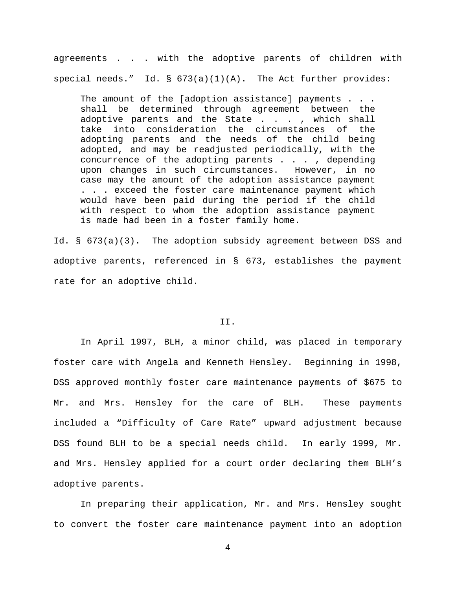agreements . . . with the adoptive parents of children with special needs." Id.  $\S$  673(a)(1)(A). The Act further provides:

The amount of the [adoption assistance] payments . . . shall be determined through agreement between the adoptive parents and the State . . . , which shall take into consideration the circumstances of the adopting parents and the needs of the child being adopted, and may be readjusted periodically, with the concurrence of the adopting parents . . . , depending upon changes in such circumstances. However, in no case may the amount of the adoption assistance payment . . . exceed the foster care maintenance payment which would have been paid during the period if the child with respect to whom the adoption assistance payment is made had been in a foster family home.

Id. § 673(a)(3). The adoption subsidy agreement between DSS and adoptive parents, referenced in § 673, establishes the payment rate for an adoptive child.

### II.

In April 1997, BLH, a minor child, was placed in temporary foster care with Angela and Kenneth Hensley. Beginning in 1998, DSS approved monthly foster care maintenance payments of \$675 to Mr. and Mrs. Hensley for the care of BLH. These payments included a "Difficulty of Care Rate" upward adjustment because DSS found BLH to be a special needs child. In early 1999, Mr. and Mrs. Hensley applied for a court order declaring them BLH's adoptive parents.

In preparing their application, Mr. and Mrs. Hensley sought to convert the foster care maintenance payment into an adoption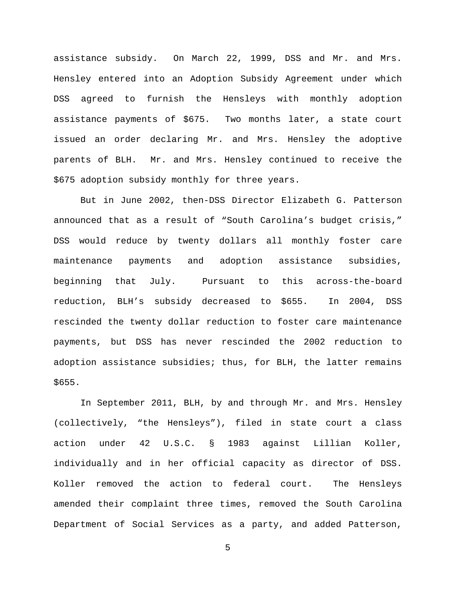assistance subsidy. On March 22, 1999, DSS and Mr. and Mrs. Hensley entered into an Adoption Subsidy Agreement under which DSS agreed to furnish the Hensleys with monthly adoption assistance payments of \$675. Two months later, a state court issued an order declaring Mr. and Mrs. Hensley the adoptive parents of BLH. Mr. and Mrs. Hensley continued to receive the \$675 adoption subsidy monthly for three years.

But in June 2002, then-DSS Director Elizabeth G. Patterson announced that as a result of "South Carolina's budget crisis," DSS would reduce by twenty dollars all monthly foster care maintenance payments and adoption assistance subsidies, beginning that July. Pursuant to this across-the-board reduction, BLH's subsidy decreased to \$655. In 2004, DSS rescinded the twenty dollar reduction to foster care maintenance payments, but DSS has never rescinded the 2002 reduction to adoption assistance subsidies; thus, for BLH, the latter remains \$655.

In September 2011, BLH, by and through Mr. and Mrs. Hensley (collectively, "the Hensleys"), filed in state court a class action under 42 U.S.C. § 1983 against Lillian Koller, individually and in her official capacity as director of DSS. Koller removed the action to federal court. The Hensleys amended their complaint three times, removed the South Carolina Department of Social Services as a party, and added Patterson,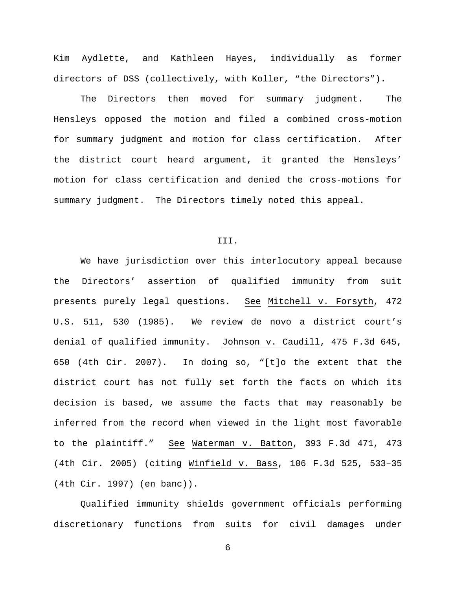Kim Aydlette, and Kathleen Hayes, individually as former directors of DSS (collectively, with Koller, "the Directors").

The Directors then moved for summary judgment. The Hensleys opposed the motion and filed a combined cross-motion for summary judgment and motion for class certification. After the district court heard argument, it granted the Hensleys' motion for class certification and denied the cross-motions for summary judgment. The Directors timely noted this appeal.

## III.

We have jurisdiction over this interlocutory appeal because the Directors' assertion of qualified immunity from suit presents purely legal questions. See Mitchell v. Forsyth, 472 U.S. 511, 530 (1985). We review de novo a district court's denial of qualified immunity. Johnson v. Caudill, 475 F.3d 645, 650 (4th Cir. 2007). In doing so, "[t]o the extent that the district court has not fully set forth the facts on which its decision is based, we assume the facts that may reasonably be inferred from the record when viewed in the light most favorable to the plaintiff." See Waterman v. Batton, 393 F.3d 471, 473 (4th Cir. 2005) (citing Winfield v. Bass, 106 F.3d 525, 533–35 (4th Cir. 1997) (en banc)).

Qualified immunity shields government officials performing discretionary functions from suits for civil damages under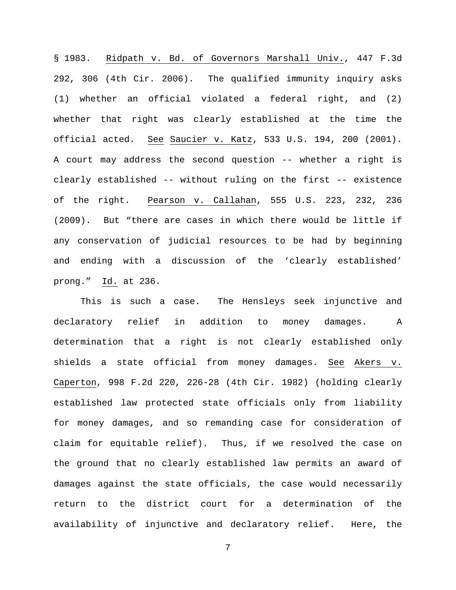§ 1983. Ridpath v. Bd. of Governors Marshall Univ., 447 F.3d 292, 306 (4th Cir. 2006). The qualified immunity inquiry asks (1) whether an official violated a federal right, and (2) whether that right was clearly established at the time the official acted. See Saucier v. Katz, 533 U.S. 194, 200 (2001). A court may address the second question -- whether a right is clearly established -- without ruling on the first -- existence of the right. Pearson v. Callahan, 555 U.S. 223, 232, 236 (2009). But "there are cases in which there would be little if any conservation of judicial resources to be had by beginning and ending with a discussion of the 'clearly established' prong." Id. at 236.

This is such a case. The Hensleys seek injunctive and declaratory relief in addition to money damages. A determination that a right is not clearly established only shields a state official from money damages. See Akers v. Caperton, 998 F.2d 220, 226-28 (4th Cir. 1982) (holding clearly established law protected state officials only from liability for money damages, and so remanding case for consideration of claim for equitable relief). Thus, if we resolved the case on the ground that no clearly established law permits an award of damages against the state officials, the case would necessarily return to the district court for a determination of the availability of injunctive and declaratory relief. Here, the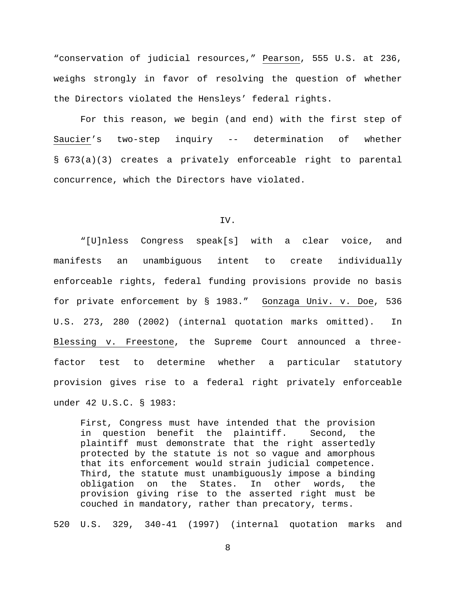"conservation of judicial resources," Pearson, 555 U.S. at 236, weighs strongly in favor of resolving the question of whether the Directors violated the Hensleys' federal rights.

For this reason, we begin (and end) with the first step of Saucier's two-step inquiry -- determination of whether § 673(a)(3) creates a privately enforceable right to parental concurrence, which the Directors have violated.

### IV.

"[U]nless Congress speak[s] with a clear voice, and manifests an unambiguous intent to create individually enforceable rights, federal funding provisions provide no basis for private enforcement by § 1983." Gonzaga Univ. v. Doe, 536 U.S. 273, 280 (2002) (internal quotation marks omitted). In Blessing v. Freestone, the Supreme Court announced a threefactor test to determine whether a particular statutory provision gives rise to a federal right privately enforceable under 42 U.S.C. § 1983:

First, Congress must have intended that the provision in question benefit the plaintiff. Second, the plaintiff must demonstrate that the right assertedly protected by the statute is not so vague and amorphous that its enforcement would strain judicial competence. Third, the statute must unambiguously impose a binding<br>obligation on the States. In other words, the In other words, the provision giving rise to the asserted right must be couched in mandatory, rather than precatory, terms.

520 U.S. 329, 340-41 (1997) (internal quotation marks and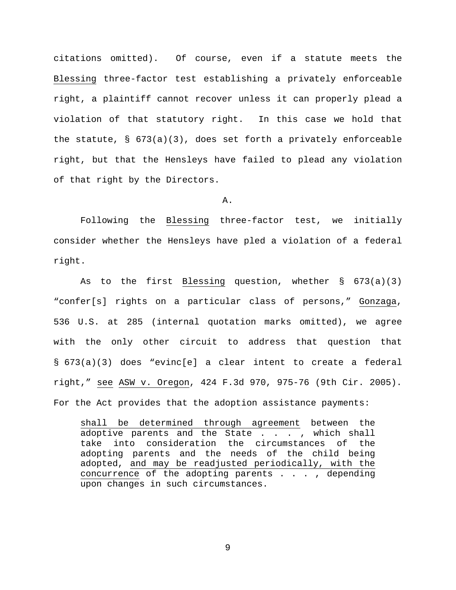citations omitted). Of course, even if a statute meets the Blessing three-factor test establishing a privately enforceable right, a plaintiff cannot recover unless it can properly plead a violation of that statutory right. In this case we hold that the statute,  $\S$  673(a)(3), does set forth a privately enforceable right, but that the Hensleys have failed to plead any violation of that right by the Directors.

A.

Following the Blessing three-factor test, we initially consider whether the Hensleys have pled a violation of a federal right.

As to the first Blessing question, whether § 673(a)(3) "confer[s] rights on a particular class of persons," Gonzaga, 536 U.S. at 285 (internal quotation marks omitted), we agree with the only other circuit to address that question that § 673(a)(3) does "evinc[e] a clear intent to create a federal right," see ASW v. Oregon, 424 F.3d 970, 975-76 (9th Cir. 2005). For the Act provides that the adoption assistance payments:

shall be determined through agreement between the adoptive parents and the State . . . , which shall take into consideration the circumstances of the adopting parents and the needs of the child being adopted, and may be readjusted periodically, with the concurrence of the adopting parents . . . , depending upon changes in such circumstances.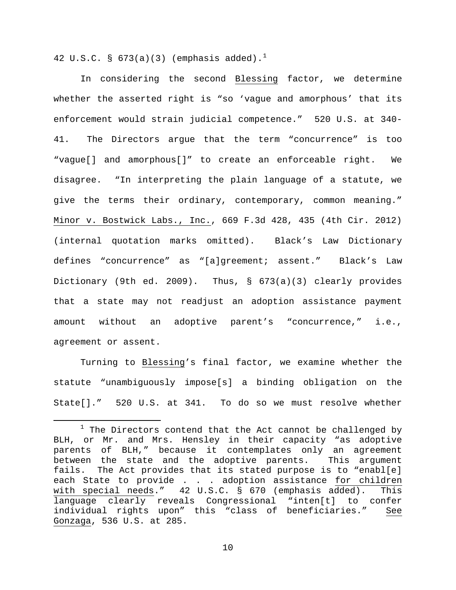42 U.S.C. § 673(a)(3) (emphasis added).<sup>[1](#page-9-0)</sup>

In considering the second Blessing factor, we determine whether the asserted right is "so 'vague and amorphous' that its enforcement would strain judicial competence." 520 U.S. at 340- 41. The Directors argue that the term "concurrence" is too "vague[] and amorphous[]" to create an enforceable right. We disagree. "In interpreting the plain language of a statute, we give the terms their ordinary, contemporary, common meaning." Minor v. Bostwick Labs., Inc., 669 F.3d 428, 435 (4th Cir. 2012) (internal quotation marks omitted). Black's Law Dictionary defines "concurrence" as "[a]greement; assent." Black's Law Dictionary (9th ed. 2009). Thus, § 673(a)(3) clearly provides that a state may not readjust an adoption assistance payment amount without an adoptive parent's "concurrence," i.e., agreement or assent.

Turning to Blessing's final factor, we examine whether the statute "unambiguously impose[s] a binding obligation on the State[]." 520 U.S. at 341. To do so we must resolve whether

<span id="page-9-0"></span> $1$  The Directors contend that the Act cannot be challenged by BLH, or Mr. and Mrs. Hensley in their capacity "as adoptive parents of BLH," because it contemplates only an agreement between the state and the adoptive parents. This argument fails. The Act provides that its stated purpose is to "enabl[e] each State to provide . . . adoption assistance <u>for children</u><br>with special needs." 42 U.S.C. § 670 (emphasis added). This with special needs." 42 U.S.C. § 670 (emphasis added). language clearly reveals Congressional "inten[t] to confer individual rights upon" this "class of beneficiaries." See Gonzaga, 536 U.S. at 285.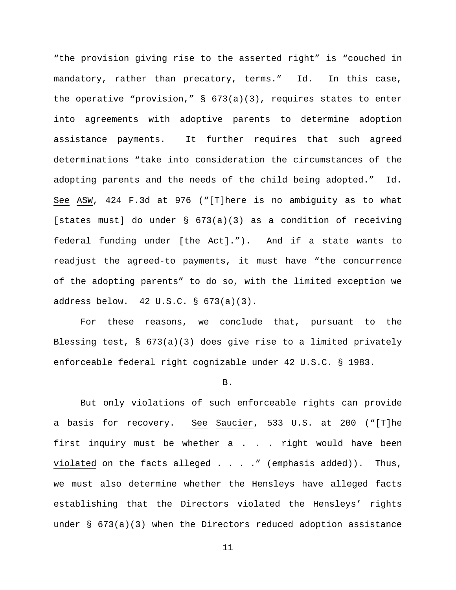"the provision giving rise to the asserted right" is "couched in mandatory, rather than precatory, terms." Id. In this case, the operative "provision,"  $\S$  673(a)(3), requires states to enter into agreements with adoptive parents to determine adoption assistance payments. It further requires that such agreed determinations "take into consideration the circumstances of the adopting parents and the needs of the child being adopted." Id. See ASW, 424 F.3d at 976 ("[T]here is no ambiguity as to what [states must] do under § 673(a)(3) as a condition of receiving federal funding under [the Act]."). And if a state wants to readjust the agreed-to payments, it must have "the concurrence of the adopting parents" to do so, with the limited exception we address below. 42 U.S.C. § 673(a)(3).

For these reasons, we conclude that, pursuant to the Blessing test,  $\S$  673(a)(3) does give rise to a limited privately enforceable federal right cognizable under 42 U.S.C. § 1983.

## B.

But only violations of such enforceable rights can provide a basis for recovery. See Saucier, 533 U.S. at 200 ("[T]he first inquiry must be whether a . . . right would have been violated on the facts alleged  $\ldots$  . . " (emphasis added)). Thus, we must also determine whether the Hensleys have alleged facts establishing that the Directors violated the Hensleys' rights under  $\S$  673(a)(3) when the Directors reduced adoption assistance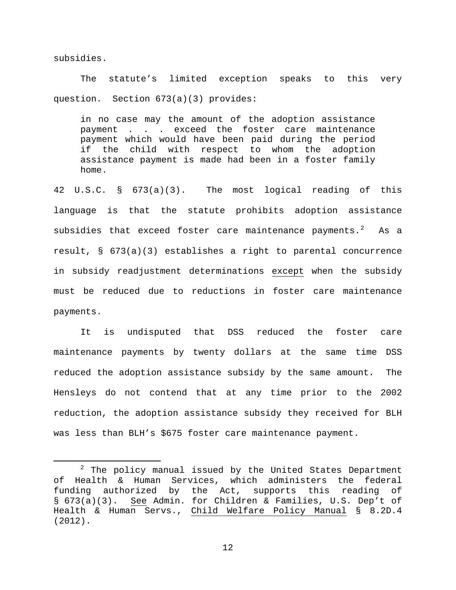subsidies.

The statute's limited exception speaks to this very question. Section 673(a)(3) provides:

in no case may the amount of the adoption assistance payment . . . exceed the foster care maintenance payment which would have been paid during the period if the child with respect to whom the adoption assistance payment is made had been in a foster family home.

42 U.S.C. § 673(a)(3). The most logical reading of this language is that the statute prohibits adoption assistance subsidies that exceed foster care maintenance payments. $^{2}$  $^{2}$  $^{2}$  As a result, § 673(a)(3) establishes a right to parental concurrence in subsidy readjustment determinations except when the subsidy must be reduced due to reductions in foster care maintenance payments.

It is undisputed that DSS reduced the foster care maintenance payments by twenty dollars at the same time DSS reduced the adoption assistance subsidy by the same amount. The Hensleys do not contend that at any time prior to the 2002 reduction, the adoption assistance subsidy they received for BLH was less than BLH's \$675 foster care maintenance payment.

<span id="page-11-0"></span> $2$  The policy manual issued by the United States Department of Health & Human Services, which administers the federal funding authorized by the Act, supports this reading of § 673(a)(3). See Admin. for Children & Families, U.S. Dep't of Health & Human Servs., Child Welfare Policy Manual § 8.2D.4 (2012).